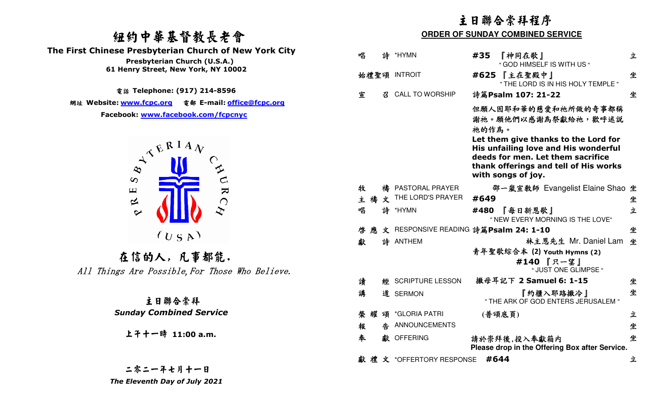# 紐約中華基督教長老會

 **The First Chinese Presbyterian Church of New York City** 



上午十一時 **11:00 a.m.**

|                                                                                                                                                                                        | 主日聯合崇拜程序<br><b>ORDER OF SUNDAY COMBINED SERVICE</b> |                                                                                                                                                                                                                                         |        |  |  |
|----------------------------------------------------------------------------------------------------------------------------------------------------------------------------------------|-----------------------------------------------------|-----------------------------------------------------------------------------------------------------------------------------------------------------------------------------------------------------------------------------------------|--------|--|--|
| 纽约中華基督教長老會                                                                                                                                                                             |                                                     |                                                                                                                                                                                                                                         |        |  |  |
| irst Chinese Presbyterian Church of New York City<br>Presbyterian Church (U.S.A.)                                                                                                      | 唱<br>詩 *HYMN                                        | 『神同在歌』<br>#35<br>" GOD HIMSELF IS WITH US "                                                                                                                                                                                             | 立      |  |  |
| 61 Henry Street, New York, NY 10002                                                                                                                                                    | 始禮聖頌 INTROIT                                        | #625 【主在聖殿中】<br>" THE LORD IS IN HIS HOLY TEMPLE "                                                                                                                                                                                      | 坐      |  |  |
| 電話 Telephone: (917) 214-8596                                                                                                                                                           | 宣<br><b>CALL TO WORSHIP</b><br>召                    | 詩篇Psalm 107: 21-22                                                                                                                                                                                                                      | 坐      |  |  |
| 網址 Website: <u>www.fcpc.org</u> 電郵 E-mail: <u>office@fcpc.org</u><br>Facebook: www.facebook.com/fcpcnyc<br>$A^{\mathcal{R}^{\mathbf{R}^{\mathbf{I}}\mathbf{A}}\mathbf{V}}$<br>$\infty$ |                                                     | 但願人因耶和華的慈愛和祂所做的奇事都稱<br>謝祂。願他們以感謝為祭獻給祂,歡呼述説<br>祂的作為。<br>Let them give thanks to the Lord for<br>His unfailing love and His wonderful<br>deeds for men. Let them sacrifice<br>thank offerings and tell of His works<br>with songs of joy. |        |  |  |
| URC<br>$\mathbf \mu$<br>$\approx$                                                                                                                                                      | 禱 PASTORAL PRAYER<br>牧<br>THE LORD'S PRAYER<br>主禱文  | 邵一嵐宣教師 Evangelist Elaine Shao 坐<br>#649                                                                                                                                                                                                 | 坐      |  |  |
| $\sim$                                                                                                                                                                                 | 唱<br>詩 *HYMN                                        | 『每日新恩歌』<br>#480<br>" NEW EVERY MORNING IS THE LOVE"                                                                                                                                                                                     | 立      |  |  |
| (U S A)                                                                                                                                                                                | 啓應<br>詩 ANTHEM<br>獻                                 | 文 RESPONSIVE READING 詩篇Psalm 24: 1-10<br>林主恩先生 Mr. Daniel Lam 坐                                                                                                                                                                         | 坐      |  |  |
| 在信的人,凡事都能.<br>All Things Are Possible, For Those Who Believe.                                                                                                                          |                                                     | 青年聖歌綜合本 (2) Youth Hymns (2)<br>#140 『只一望』<br>" JUST ONE GLIMPSE "                                                                                                                                                                       |        |  |  |
|                                                                                                                                                                                        | 讀<br><b>SCRIPTURE LESSON</b><br>經                   | 撒母耳記下 2 Samuel 6: 1-15                                                                                                                                                                                                                  | 坐      |  |  |
| 主日聯合崇拜                                                                                                                                                                                 | 講<br>道 SERMON                                       | 『約櫃入耶路撒冷』<br>" THE ARK OF GOD ENTERS JERUSALEM "                                                                                                                                                                                        | 坐      |  |  |
| <b>Sunday Combined Service</b>                                                                                                                                                         | 榮耀 頌 *GLORIA PATRI<br>告 ANNOUNCEMENTS<br>報          | (普頌底頁)                                                                                                                                                                                                                                  | 立<br>坐 |  |  |
| 上千十一時 11:00 a.m.                                                                                                                                                                       | 奉<br>獻 OFFERING                                     | 請於崇拜後,投入奉獻箱内<br>Please drop in the Offering Box after Service.                                                                                                                                                                          | 坐      |  |  |
| 二零二一年七月十一日                                                                                                                                                                             | 獻禮文 *OFFERTORY RESPONSE #644                        |                                                                                                                                                                                                                                         | 立      |  |  |
| The Eleventh Day of July 2021                                                                                                                                                          |                                                     |                                                                                                                                                                                                                                         |        |  |  |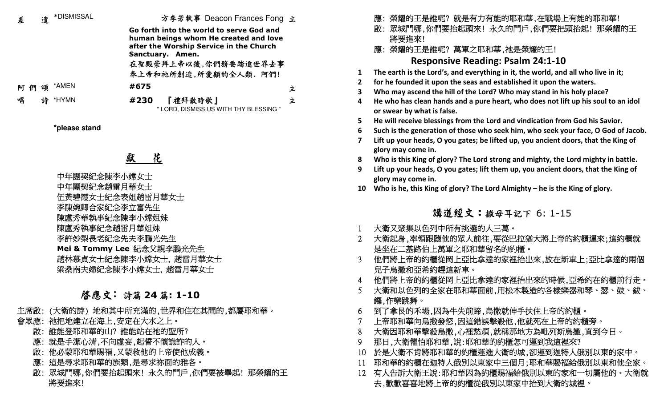| 差                                               |                           | 遣 *DISMISSAL                             |                                                                                  | 方李芳執事 Deacon Frances Fong 立            |                                                      |                                                                             | 應: 榮耀的王是誰呢? 就是有力有能的耶和華,在戰場上有能的耶和華!                                                                              |
|-------------------------------------------------|---------------------------|------------------------------------------|----------------------------------------------------------------------------------|----------------------------------------|------------------------------------------------------|-----------------------------------------------------------------------------|-----------------------------------------------------------------------------------------------------------------|
|                                                 |                           | Go forth into the world to serve God and |                                                                                  |                                        |                                                      | 啟: 眾城門哪,你們要抬起頭來! 永久的門戶,你們要把頭抬起! 那榮耀的王                                       |                                                                                                                 |
|                                                 |                           |                                          | human beings whom He created and love<br>after the Worship Service in the Church |                                        |                                                      |                                                                             | 將要進來!                                                                                                           |
|                                                 |                           |                                          |                                                                                  | Sanctuary. Amen.                       |                                                      |                                                                             | 應: 榮耀的王是誰呢? 萬軍之耶和華,祂是榮耀的王!                                                                                      |
|                                                 |                           |                                          |                                                                                  | 在聖殿崇拜上帝以後,你們務要踏進世界去事                   |                                                      |                                                                             | <b>Responsive Reading: Psalm 24:1-10</b>                                                                        |
|                                                 |                           |                                          |                                                                                  | 奉上帝和祂所創造,所愛顧的全人類. 阿們!                  |                                                      |                                                                             | The earth is the Lord's, and everything in it, the world, and all who live in it;                               |
| 阿們                                              | 頌                         | *AMEN                                    | #675                                                                             |                                        | 立                                                    | $\mathbf{2}$                                                                | for he founded it upon the seas and established it upon the waters.                                             |
| 唱                                               | 詩                         | *HYMN                                    | #230                                                                             | 『禮拜散時歌』                                | 立                                                    |                                                                             | Who may ascend the hill of the Lord? Who may stand in his holy place?                                           |
|                                                 |                           |                                          |                                                                                  | " LORD, DISMISS US WITH THY BLESSING " |                                                      |                                                                             | He who has clean hands and a pure heart, who does not lift up his soul to an idol<br>or swear by what is false. |
|                                                 |                           |                                          |                                                                                  |                                        |                                                      |                                                                             | He will receive blessings from the Lord and vindication from God his Savior.                                    |
|                                                 |                           | *please stand                            |                                                                                  |                                        |                                                      |                                                                             | Such is the generation of those who seek him, who seek your face, O God of Jacob.                               |
|                                                 |                           |                                          |                                                                                  |                                        |                                                      |                                                                             | Lift up your heads, O you gates; be lifted up, you ancient doors, that the King of<br>glory may come in.        |
|                                                 |                           |                                          | 花<br>獻                                                                           |                                        |                                                      |                                                                             | Who is this King of glory? The Lord strong and mighty, the Lord mighty in battle.                               |
|                                                 | 中年團契紀念陳李小嫦女士              |                                          |                                                                                  |                                        |                                                      |                                                                             | Lift up your heads, O you gates; lift them up, you ancient doors, that the King of                              |
|                                                 |                           |                                          |                                                                                  |                                        |                                                      |                                                                             | glory may come in.                                                                                              |
|                                                 | 中年團契紀念趙雷月華女士              |                                          |                                                                                  |                                        | 10                                                   | Who is he, this King of glory? The Lord Almighty – he is the King of glory. |                                                                                                                 |
|                                                 | 伍黃碧霞女士紀念表姐趙雷月華女士          |                                          |                                                                                  |                                        |                                                      |                                                                             |                                                                                                                 |
|                                                 | 李陳婉卿合家紀念李立富先生             |                                          |                                                                                  |                                        |                                                      | 講道經文:撒母耳記下 6:1-15                                                           |                                                                                                                 |
|                                                 | 陳盧秀華執事紀念陳李小嫦姐妹            |                                          |                                                                                  |                                        |                                                      |                                                                             |                                                                                                                 |
| 陳盧秀執事紀念趙雷月華姐妹                                   |                           |                                          |                                                                                  |                                        |                                                      |                                                                             | 大衛又聚集以色列中所有挑選的人三萬。                                                                                              |
| 李許妙梨長老紀念先夫李鵬光先生                                 |                           |                                          |                                                                                  |                                        | 大衛起身,率領跟隨他的眾人前往,要從巴拉猶大將上帝的約櫃運來;這約櫃就                  |                                                                             |                                                                                                                 |
|                                                 | Mei & Tommy Lee 紀念父親李鵬光先生 |                                          |                                                                                  |                                        |                                                      | 是坐在二基路伯上萬軍之耶和華留名的約櫃。                                                        |                                                                                                                 |
| 趙林慕貞女士紀念陳李小嫦女士, 趙雷月華女士<br>梁燊南夫婦紀念陳李小嫦女士, 趙雷月華女士 |                           |                                          |                                                                                  |                                        | 他們將上帝的約櫃從岡上亞比拿達的家裡抬出來,放在新車上;亞比拿達的兩個<br>兒子烏撒和亞希約趕這新車。 |                                                                             |                                                                                                                 |
|                                                 |                           |                                          |                                                                                  |                                        |                                                      |                                                                             | 他們將上帝的約櫃從岡上亞比拿達的家裡抬出來的時候,亞希約在約櫃前行走。                                                                             |
|                                                 |                           |                                          |                                                                                  |                                        |                                                      |                                                                             | 大衛和以色列的全家在耶和華面前,用松木製造的各樣樂器和琴、瑟、鼓、鈸、                                                                             |
|                                                 |                           | 啓應文:詩篇 24 篇: 1-10                        |                                                                                  |                                        |                                                      |                                                                             | 鑼,作樂跳舞。                                                                                                         |
|                                                 |                           |                                          |                                                                                  | 主席啟: (大衛的詩) 地和其中所充滿的,世界和住在其間的,都屬耶和華。   |                                                      |                                                                             | 到了拿艮的禾場,因為牛失前蹄,烏撒就伸手扶住上帝的約櫃。                                                                                    |
| 會眾應: 祂把地建立在海上,安定在大水之上。                          |                           |                                          |                                                                                  |                                        |                                                      |                                                                             | 上帝耶和華向烏撒發怒,因這錯誤擊殺他,他就死在上帝的約櫃旁。                                                                                  |
| 啟: 誰能登耶和華的山? 誰能站在祂的聖所?                          |                           |                                          |                                                                                  |                                        | 大衛因耶和華擊殺烏撒,心裡愁煩,就稱那地方為毗列斯烏撒,直到今日。                    |                                                                             |                                                                                                                 |
| 應: 就是手潔心清,不向虛妄,起誓不懷詭詐的人。                        |                           |                                          |                                                                                  |                                        | 那日,大衛懼怕耶和華,說:耶和華的約櫃怎可運到我這裡來?                         |                                                                             |                                                                                                                 |
| 啟: 他必蒙耶和華賜福,又蒙救他的上帝使他成義。                        |                           |                                          |                                                                                  | 10                                     | 於是大衛不肯將耶和華的約櫃運進大衛的城,卻運到迦特人俄別以東的家中。                   |                                                                             |                                                                                                                 |
| 應: 這是尋求耶和華的族類,是尋求祢面的雅各。                         |                           |                                          |                                                                                  |                                        |                                                      |                                                                             | 耶和華的約櫃在迦特人俄別以東家中三個月:耶和華賜福給俄別以東和他全家。                                                                             |
| 啟: 眾城門哪,你們要抬起頭來! 永久的門戶,你們要被舉起! 那榮耀的王            |                           |                                          |                                                                                  |                                        | 12 有人告訴大衛王說:耶和華因為約櫃賜福給俄別以東的家和一切屬他的。大衛就               |                                                                             |                                                                                                                 |

 啟: 眾城門哪,你們要抬起頭來! 永久的門戶,你們要被舉起! 那榮耀的王 將要進來!

# 有人告訴大衛王說:耶和華因為約櫃賜福給俄別以東的家和一切屬他的。大衛就<br>去,歡歡喜喜地將上帝的約櫃從俄別以東家中抬到大衛的城裡。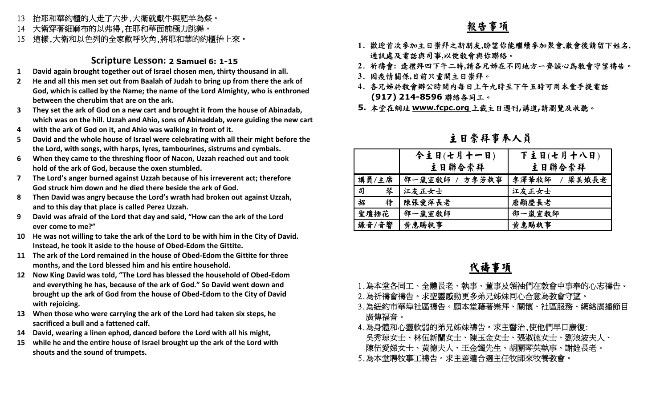- 13抬耶和華約櫃的人走了六步,大衛就獻牛與肥羊為祭。
- 大衛穿著細麻布的以弗得,在耶和華面前極力跳舞。 14
- 15這樣,大衛和以色列的全家歡呼吹角,將耶和華的約櫃抬上來。

#### **Scripture Lesson: 2 Samuel 6: 1-15**

- **1David again brought together out of Israel chosen men, thirty thousand in all.**
- **2 He and all this men set out from Baalah of Judah to bring up from there the ark of God, which is called by the Name; the name of the Lord Almighty, who is enthroned between the cherubim that are on the ark.**
- **3 They set the ark of God on a new cart and brought it from the house of Abinadab, which was on the hill. Uzzah and Ahio, sons of Abinaddab, were guiding the new cart**
- **4with the ark of God on it, and Ahio was walking in front of it.**
- **5 David and the whole house of Israel were celebrating with all their might before the the Lord, with songs, with harps, lyres, tambourines, sistrums and cymbals.**
- **6 When they came to the threshing floor of Nacon, Uzzah reached out and took hold of the ark of God, because the oxen stumbled.**
- **7 The Lord's anger burned against Uzzah because of his irreverent act; therefore God struck him down and he died there beside the ark of God.**
- **8 Then David was angry because the Lord's wrath had broken out against Uzzah, and to this day that place is called Perez Uzzah.**
- **9 David was afraid of the Lord that day and said, "How can the ark of the Lord ever come to me?"**
- **10 He was not willing to take the ark of the Lord to be with him in the City of David. Instead, he took it aside to the house of Obed-Edom the Gittite.**
- **11 The ark of the Lord remained in the house of Obed-Edom the Gittite for three months, and the Lord blessed him and his entire household.**
- **12 Now King David was told, "The Lord has blessed the household of Obed-Edom and everything he has, because of the ark of God." So David went down and brought up the ark of God from the house of Obed-Edom to the City of David with rejoicing.**
- **13 When those who were carrying the ark of the Lord had taken six steps, he sacrificed a bull and a fattened calf.**
- **14 David, wearing a linen ephod, danced before the Lord with all his might,**
- **15 while he and the entire house of Israel brought up the ark of the Lord with shouts and the sound of trumpets.**

#### 報告事項

- **1**. 歡迎首次參加主日崇拜之新朋友**,**盼望你能繼續參加聚會**,**散會後請留下姓名**,** 通訊處及電話與司事**,**<sup>以</sup>便教會與你聯絡。
- **2**. 祈禱會**:** 逢禮拜四下午二時**,**請各兄姊在不同地方一齊誠心為教會守望禱告。
- **3**. 因疫情關係**,**目前只重開主日崇拜。
- **4**. 各兄姊於教會辦公時間內每日上午九時至下午五時可用本堂手提電話**(917) 214-8596**聯絡各同工。
- **5.** 本堂在網址 **www.fcpc.org** 上載主日週刊**,**講道**,**請瀏覽及收聽。

#### 主日崇拜事奉人員

|        | 今主日(七月十一日)     | 下主日(七月十八日)    |
|--------|----------------|---------------|
|        | 主日聯合崇拜         | 主日聯合崇拜        |
| 講員/主席  | 邵一嵐宣敎師 / 方李芳執事 | 李澤華牧師 / 梁美娥長老 |
| 司<br>琴 | 江友正女士          | 江友正女士         |
| 待<br>招 | 陳張愛萍長老         | 唐顯慶長老         |
| 聖壇插花   | 邵一嵐宣教師         | 邵一嵐宣教師        |
| 錄音/音響  | 黄惠賜執事          | 黄惠賜執事         |

### 代禱事項

- 1.為本堂各同工、全體長老、執事、董事及領袖們在教會中事奉的心志禱告。
- 2.為祈禱會禱告。求聖靈感動更多弟兄姊妹同心合意為教會守望。
- 3.為紐約市華埠社區禱告。願本堂藉著崇拜、關懷、社區服務、網絡廣播節目 廣傳福音。
- 4.為身體和心靈軟弱的弟兄姊妹禱告。求主醫治,使他們早日康復: 吳秀琼女士、林伍新蘭女士、陳玉金女士、張淑德女士、劉浪波夫人、 陳伍愛娣女士、黃德夫人、王金鐲先生、胡關琴英執事、謝銓長老。」
- 5.為本堂聘牧事工禱告。求主差遣合適主任牧師來牧養教會。